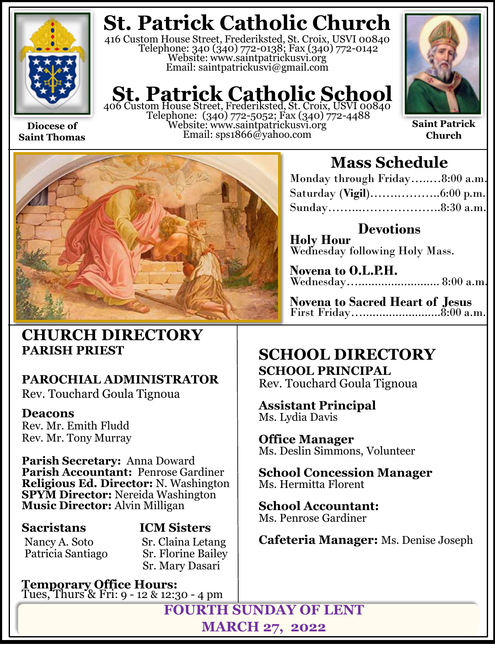

**Saint Thomas**

**St. Patrick Catholic Church**

416 Custom House Street, Frederiksted, St. Croix, USVI 00840 Telephone: 340 (340) 772-0138; Fax (340) 772-0142 Website: www.saintpatrickusvi.org Email: saintpatrickusvi@gmail.com

# **St. Patrick Catholic School**<br>406 Custom House Street, Frederiksted, St. Croix, USVI 00840

Telephone: (340) 772-5052; Fax (340) 772-4488 Website: www.saintpatrickusvi.org Email: sps1866@yahoo.com



**Saint Patrick Church**



### **CHURCH DIRECTORY PARISH PRIEST**

### **PAROCHIAL ADMINISTRATOR**

Rev. Touchard Goula Tignoua

### **Deacons**

Rev. Mr. Emith Fludd Rev. Mr. Tony Murray

**Parish Secretary:** Anna Doward **Parish Accountant:** Penrose Gardiner **Religious Ed. Director:** N. Washington **SPYM Director:** Nereida Washington **Music Director:** Alvin Milligan

Patricia Santiago

## **Sacristans ICM Sisters**

Nancy A. Soto Sr. Claina Letang<br>Patricia Santiago Sr. Florine Bailey Sr. Mary Dasari

**Temporary Office Hours:**  Tues, Thurs & Fri: 9 - 12 & 12:30 - 4 pm

## **Mass Schedule**

| Monday through Friday8:00 a.m. |  |
|--------------------------------|--|
|                                |  |
|                                |  |

**Devotions Holy Hour**  Wednesday following Holy Mass.

**Novena to O.L.P.H.** Wednesday…......................... 8:00 a.m.

**Novena to Sacred Heart of Jesus** First Friday…........................8:00 a.m.

### **SCHOOL DIRECTORY SCHOOL PRINCIPAL**

Rev. Touchard Goula Tignoua

**Assistant Principal** Ms. Lydia Davis

**Office Manager** Ms. Deslin Simmons, Volunteer

**School Concession Manager** Ms. Hermitta Florent

**School Accountant:**  Ms. Penrose Gardiner

**Cafeteria Manager:** Ms. Denise Joseph

**FOURTH SUNDAY OF LENT MARCH 27, 2022**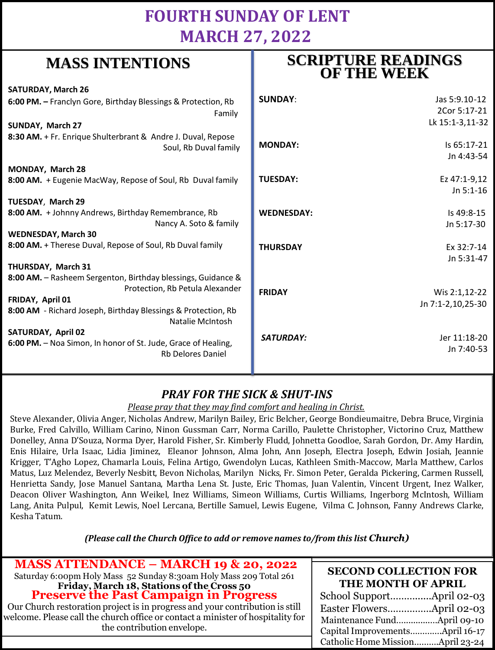### **FOURTH SUNDAY OF LENT MARCH 27, 2022**

**SCRIPTURE READINGS** 

### **MASS INTENTIONS**

| when hit had the control                                                                        |                   | <b>OF THE WEEK</b> |
|-------------------------------------------------------------------------------------------------|-------------------|--------------------|
| <b>SATURDAY, March 26</b>                                                                       |                   |                    |
| 6:00 PM. - Franclyn Gore, Birthday Blessings & Protection, Rb                                   | <b>SUNDAY:</b>    | Jas 5:9.10-12      |
| Family                                                                                          |                   | 2Cor 5:17-21       |
| SUNDAY, March 27                                                                                |                   | Lk 15:1-3,11-32    |
| 8:30 AM. + Fr. Enrique Shulterbrant & Andre J. Duval, Repose                                    |                   |                    |
| Soul, Rb Duval family                                                                           | <b>MONDAY:</b>    | Is 65:17-21        |
|                                                                                                 |                   | Jn 4:43-54         |
| MONDAY, March 28                                                                                |                   |                    |
| 8:00 AM. + Eugenie MacWay, Repose of Soul, Rb Duval family                                      | <b>TUESDAY:</b>   | Ez 47:1-9,12       |
|                                                                                                 |                   | $Jn 5:1-16$        |
| TUESDAY, March 29                                                                               |                   |                    |
| 8:00 AM. + Johnny Andrews, Birthday Remembrance, Rb                                             | <b>WEDNESDAY:</b> | Is 49:8-15         |
| Nancy A. Soto & family                                                                          |                   | Jn 5:17-30         |
| <b>WEDNESDAY, March 30</b>                                                                      |                   |                    |
| 8:00 AM. + Therese Duval, Repose of Soul, Rb Duval family                                       | <b>THURSDAY</b>   | Ex 32:7-14         |
|                                                                                                 |                   | Jn 5:31-47         |
| THURSDAY, March 31                                                                              |                   |                    |
| 8:00 AM. - Rasheem Sergenton, Birthday blessings, Guidance &<br>Protection, Rb Petula Alexander |                   |                    |
| FRIDAY, April 01                                                                                | <b>FRIDAY</b>     | Wis 2:1,12-22      |
| 8:00 AM - Richard Joseph, Birthday Blessings & Protection, Rb                                   |                   | Jn 7:1-2,10,25-30  |
| Natalie McIntosh                                                                                |                   |                    |
| <b>SATURDAY, April 02</b>                                                                       |                   |                    |
| 6:00 PM. - Noa Simon, In honor of St. Jude, Grace of Healing,                                   | <b>SATURDAY:</b>  | Jer 11:18-20       |
| <b>Rb Delores Daniel</b>                                                                        |                   | Jn 7:40-53         |
|                                                                                                 |                   |                    |

### *PRAY FOR THE SICK & SHUT-INS*

### *Please pray that they may find comfort and healing in Christ.*

Steve Alexander, Olivia Anger, Nicholas Andrew, Marilyn Bailey, Eric Belcher, George Bondieumaitre, Debra Bruce, Virginia Burke, Fred Calvillo, William Carino, Ninon Gussman Carr, Norma Carillo, Paulette Christopher, Victorino Cruz, Matthew Donelley, Anna D'Souza, Norma Dyer, Harold Fisher, Sr. Kimberly Fludd, Johnetta Goodloe, Sarah Gordon, Dr. Amy Hardin, Enis Hilaire, Urla Isaac, Lidia Jiminez, Eleanor Johnson, Alma John, Ann Joseph, Electra Joseph, Edwin Josiah, Jeannie Krigger, T'Agho Lopez, Chamarla Louis, Felina Artigo, Gwendolyn Lucas, Kathleen Smith-Maccow, Marla Matthew, Carlos Matus, Luz Melendez, Beverly Nesbitt, Bevon Nicholas, Marilyn Nicks, Fr. Simon Peter, Geralda Pickering, Carmen Russell, Henrietta Sandy, Jose Manuel Santana, Martha Lena St. Juste, Eric Thomas, Juan Valentin, Vincent Urgent, Inez Walker, Deacon Oliver Washington, Ann Weikel, Inez Williams, Simeon Williams, Curtis Williams, Ingerborg McIntosh, William Lang, Anita Pulpul, Kemit Lewis, Noel Lercana, Bertille Samuel, Lewis Eugene, Vilma C. Johnson, Fanny Andrews Clarke, Kesha Tatum.

*(Please call the Church Office to add or remove names to/from this list Church)*

| <b>MASS ATTENDANCE - MARCH 19 &amp; 20, 2022</b><br>Saturday 6:00pm Holy Mass 52 Sunday 8:30am Holy Mass 209 Total 261                                                                                                                                                                | <b>SECOND COLLECTION FOR</b><br>THE MONTH OF APRIL                  |
|---------------------------------------------------------------------------------------------------------------------------------------------------------------------------------------------------------------------------------------------------------------------------------------|---------------------------------------------------------------------|
| Friday, March 18, Stations of the Cross 50<br>Preserve the Past Campaign in Progress<br>Our Church restoration project is in progress and your contribution is still<br>welcome. Please call the church office or contact a minister of hospitality for<br>the contribution envelope. |                                                                     |
|                                                                                                                                                                                                                                                                                       | Capital ImprovementsApril 16-17<br>Catholic Home MissionApril 23-24 |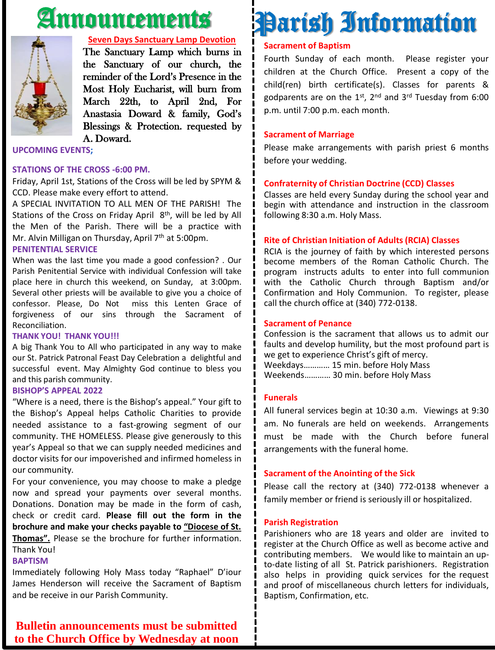# Announcements



#### **Seven Days Sanctuary Lamp Devotion**

The Sanctuary Lamp which burns in the Sanctuary of our church, the reminder of the Lord's Presence in the Most Holy Eucharist, will burn from March 22th, to April 2nd, For Anastasia Doward & family, God's Blessings & Protection. requested by A. Doward.

**UPCOMING EVENTS;**

#### **STATIONS OF THE CROSS -6:00 PM.**

Friday, April 1st, Stations of the Cross will be led by SPYM & CCD. Please make every effort to attend.

A SPECIAL INVITATION TO ALL MEN OF THE PARISH! The Stations of the Cross on Friday April 8<sup>th</sup>, will be led by All the Men of the Parish. There will be a practice with Mr. Alvin Milligan on Thursday, April 7<sup>th</sup> at 5:00pm.

#### **PENITENTIAL SERVICE**

When was the last time you made a good confession? . Our Parish Penitential Service with individual Confession will take place here in church this weekend, on Sunday, at 3:00pm. Several other priests will be available to give you a choice of confessor. Please, Do Not miss this Lenten Grace of forgiveness of our sins through the Sacrament of Reconciliation.

#### **THANK YOU! THANK YOU!!!**

A big Thank You to All who participated in any way to make our St. Patrick Patronal Feast Day Celebration a delightful and successful event. May Almighty God continue to bless you and this parish community.

#### **BISHOP'S APPEAL 2022**

"Where is a need, there is the Bishop's appeal." Your gift to the Bishop's Appeal helps Catholic Charities to provide needed assistance to a fast-growing segment of our community. THE HOMELESS. Please give generously to this year's Appeal so that we can supply needed medicines and doctor visits for our impoverished and infirmed homeless in our community.

For your convenience, you may choose to make a pledge now and spread your payments over several months. Donations. Donation may be made in the form of cash, check or credit card. **Please fill out the form in the brochure and make your checks payable to "Diocese of St. Thomas".** Please se the brochure for further information. Thank You!

### **BAPTISM**

Immediately following Holy Mass today "Raphael" D'iour James Henderson will receive the Sacrament of Baptism and be receive in our Parish Community.

### **Sacrament of Baptism** Fourth Sunday of each month. Please register your

children at the Church Office. Present a copy of the child(ren) birth certificate(s). Classes for parents & godparents are on the 1st, 2<sup>nd</sup> and 3<sup>rd</sup> Tuesday from 6:00 p.m. until 7:00 p.m. each month.

Parish Information

### **Sacrament of Marriage**

Please make arrangements with parish priest 6 months before your wedding.

### **Confraternity of Christian Doctrine (CCD) Classes**

Classes are held every Sunday during the school year and begin with attendance and instruction in the classroom following 8:30 a.m. Holy Mass.

### **Rite of Christian Initiation of Adults (RCIA) Classes**

RCIA is the journey of faith by which interested persons become members of the Roman Catholic Church. The program instructs adults to enter into full communion with the Catholic Church through Baptism and/or Confirmation and Holy Communion. To register, please call the church office at (340) 772-0138.

#### **Sacrament of Penance**

Confession is the sacrament that allows us to admit our faults and develop humility, but the most profound part is we get to experience Christ's gift of mercy. Weekdays………… 15 min. before Holy Mass Weekends………… 30 min. before Holy Mass

### **Funerals**

All funeral services begin at 10:30 a.m. Viewings at 9:30 am. No funerals are held on weekends. Arrangements must be made with the Church before funeral arrangements with the funeral home.

#### **Sacrament of the Anointing of the Sick**

Please call the rectory at (340) 772-0138 whenever a family member or friend is seriously ill or hospitalized.

#### **Parish Registration**

Parishioners who are 18 years and older are invited to register at the Church Office as well as become active and contributing members. We would like to maintain an upto-date listing of all St. Patrick parishioners. Registration also helps in providing quick services for the request and proof of miscellaneous church letters for individuals, Baptism, Confirmation, etc.

**Bulletin announcements must be submitted to the Church Office by Wednesday at noon**